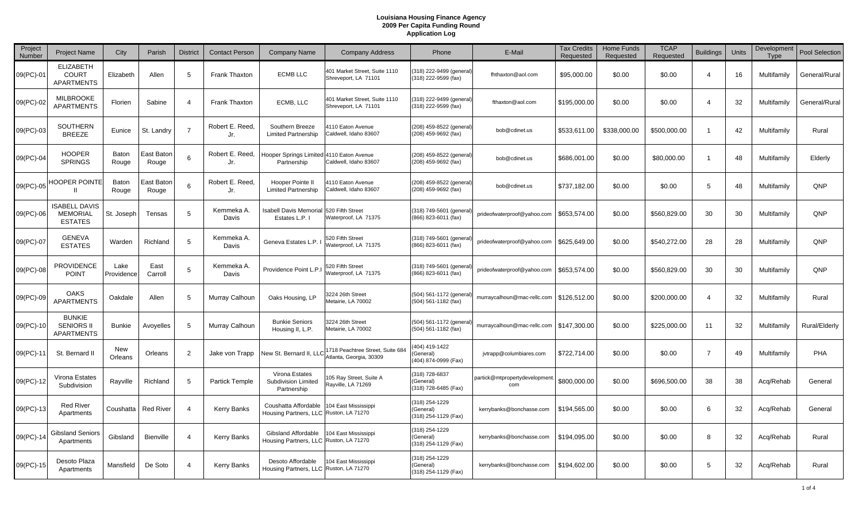| Project<br>Number | <b>Project Name</b>                                       | City               | Parish              | <b>District</b> | <b>Contact Person</b>  | Company Name                                                   | <b>Company Address</b>                                     | Phone                                               | E-Mail                               | <b>Tax Credits</b><br>Requested | <b>Home Funds</b><br>Requested | <b>TCAP</b><br>Requested | <b>Buildings</b>      | Units | Development<br>Type | <b>Pool Selection</b> |
|-------------------|-----------------------------------------------------------|--------------------|---------------------|-----------------|------------------------|----------------------------------------------------------------|------------------------------------------------------------|-----------------------------------------------------|--------------------------------------|---------------------------------|--------------------------------|--------------------------|-----------------------|-------|---------------------|-----------------------|
| 09(PC)-01         | <b>ELIZABETH</b><br><b>COURT</b><br><b>APARTMENTS</b>     | Elizabeth          | Allen               | 5               | Frank Thaxton          | <b>ECMB LLC</b>                                                | 401 Market Street, Suite 1110<br>Shreveport, LA 71101      | (318) 222-9499 (general)<br>(318) 222-9599 (fax)    | fhthaxton@aol.com                    | \$95,000.00                     | \$0.00                         | \$0.00                   | 4                     | 16    | Multifamily         | General/Rural         |
| 09(PC)-02         | <b>MILBROOKE</b><br><b>APARTMENTS</b>                     | Florien            | Sabine              |                 | <b>Frank Thaxton</b>   | ECMB, LLC                                                      | 401 Market Street, Suite 1110<br>Shreveport, LA 71101      | (318) 222-9499 (general)<br>(318) 222-9599 (fax)    | fthaxton@aol.com                     | \$195,000.00                    | \$0.00                         | \$0.00                   | $\boldsymbol{\Delta}$ | 32    | Multifamily         | General/Rural         |
| 09(PC)-03         | <b>SOUTHERN</b><br><b>BREEZE</b>                          | Eunice             | St. Landry          | $\overline{7}$  | Robert E. Reed.<br>Jr. | Southern Breeze<br><b>Limited Partnership</b>                  | 110 Eaton Avenue<br>Caldwell, Idaho 83607                  | (208) 459-8522 (general)<br>(208) 459-9692 (fax)    | bob@cdinet.us                        | \$533,611.00                    | \$338,000.00                   | \$500,000.00             | -1                    | 42    | Multifamily         | Rural                 |
| 09(PC)-04         | <b>HOOPER</b><br><b>SPRINGS</b>                           | Baton<br>Rouge     | East Bator<br>Rouge | 6               | Robert E. Reed.<br>Jr. | <b>Hooper Springs Limited</b><br>Partnership                   | 4110 Eaton Avenue<br>Caldwell, Idaho 83607                 | (208) 459-8522 (general)<br>(208) 459-9692 (fax)    | bob@cdinet.us                        | \$686,001.00                    | \$0.00                         | \$80,000.00              | -1                    | 48    | Multifamily         | Elderly               |
| 09(PC)-05         | <b>HOOPER POINTE</b><br>Ш                                 | Baton<br>Rouge     | East Bator<br>Rouge | 6               | Robert E. Reed.<br>Jr. | Hooper Pointe II<br><b>Limited Partnership</b>                 | 110 Eaton Avenue<br>Caldwell, Idaho 83607                  | (208) 459-8522 (general)<br>(208) 459-9692 (fax)    | bob@cdinet.us                        | \$737,182.00                    | \$0.00                         | \$0.00                   | 5                     | 48    | Multifamily         | QNP                   |
| 09(PC)-06         | <b>ISABELL DAVIS</b><br><b>MEMORIAL</b><br><b>ESTATES</b> | St. Joseph         | Tensas              | 5               | Kemmeka A.<br>Davis    | Isabell Davis Memorial<br>Estates L.P. I                       | 520 Fifth Street<br>Vaterproof, LA 71375                   | (318) 749-5601 (genera<br>(866) 823-6011 (fax)      | prideofwaterproof@yahoo.com          | \$653,574.00                    | \$0.00                         | \$560,829.00             | 30                    | 30    | Multifamily         | QNP                   |
| 09(PC)-07         | <b>GENEVA</b><br><b>ESTATES</b>                           | Warden             | Richland            | 5               | Kemmeka A.<br>Davis    | Geneva Estates L.P.                                            | 520 Fifth Street<br>Vaterproof, LA 71375                   | (318) 749-5601 (general<br>(866) 823-6011 (fax)     | prideofwaterproof@yahoo.com          | \$625,649.00                    | \$0.00                         | \$540,272.00             | 28                    | 28    | Multifamily         | QNP                   |
| 09(PC)-08         | <b>PROVIDENCE</b><br><b>POINT</b>                         | Lake<br>Providence | East<br>Carroll     | 5               | Kemmeka A.<br>Davis    | Providence Point L.P.I                                         | 520 Fifth Street<br>Vaterproof, LA 71375                   | (318) 749-5601 (genera<br>(866) 823-6011 (fax)      | prideofwaterproof@yahoo.com          | \$653,574.00                    | \$0.00                         | \$560,829.00             | 30                    | 30    | Multifamily         | QNP                   |
| 09(PC)-09         | <b>OAKS</b><br><b>APARTMENTS</b>                          | Oakdale            | Allen               | 5               | Murray Calhoun         | Oaks Housing, LP                                               | 224 26th Street<br>Aetairie, LA 70002                      | (504) 561-1172 (genera<br>(504) 561-1182 (fax)      | murraycalhoun@mac-rellc.com          | \$126,512.00                    | \$0.00                         | \$200,000.00             | $\Delta$              | 32    | Multifamily         | Rural                 |
| 09(PC)-10         | <b>BUNKIE</b><br><b>SENIORS II</b><br><b>APARTMENTS</b>   | <b>Bunkie</b>      | Avoyelles           | 5               | Murray Calhoun         | <b>Bunkie Seniors</b><br>Housing II, L.P.                      | 3224 26th Street<br>Metairie, LA 70002                     | (504) 561-1172 (genera<br>(504) 561-1182 (fax)      | murraycalhoun@mac-rellc.com          | \$147,300.00                    | \$0.00                         | \$225,000.00             | 11                    | 32    | Multifamily         | Rural/Elderly         |
| 09(PC)-11         | St. Bernard II                                            | New<br>Orleans     | Orleans             | 2               | Jake von Trapp         | New St. Bernard II, LLC                                        | 1718 Peachtree Street, Suite 68<br>Atlanta, Georgia, 30309 | (404) 419-1422<br>General)<br>(404) 874-0999 (Fax)  | jvtrapp@columbiares.com              | \$722,714.00                    | \$0.00                         | \$0.00                   | 7                     | 49    | Multifamily         | <b>PHA</b>            |
| 09(PC)-12         | Virona Estates<br>Subdivision                             | Rayville           | Richland            | 5               | <b>Partick Temple</b>  | Virona Estates<br>Subdivision Limited<br>Partnership           | 05 Ray Street, Suite A<br>Rayville, LA 71269               | (318) 728-6837<br>(General)<br>(318) 728-6485 (Fax) | partick@mtpropertydevelopment<br>com | \$800,000.00                    | \$0.00                         | \$696,500.00             | 38                    | 38    | Acq/Rehab           | General               |
| 09(PC)-13         | <b>Red River</b><br>Apartments                            | Coushatta          | <b>Red River</b>    | $\overline{4}$  | <b>Kerry Banks</b>     | Coushatta Affordable<br>Housing Partners, LLC Ruston, LA 71270 | 04 East Mississippi                                        | (318) 254-1229<br>(General)<br>(318) 254-1129 (Fax) | kerrybanks@bonchasse.com             | \$194,565.00                    | \$0.00                         | \$0.00                   | 6                     | 32    | Acq/Rehab           | General               |
| 09(PC)-14         | <b>Gibsland Seniors</b><br>Apartments                     | Gibsland           | Bienville           | 4               | Kerry Banks            | Gibsland Affordable<br>Housing Partners, LLC Ruston, LA 71270  | 04 East Mississippi                                        | (318) 254-1229<br>(General)<br>(318) 254-1129 (Fax) | kerrybanks@bonchasse.com             | \$194,095.00                    | \$0.00                         | \$0.00                   | 8                     | 32    | Acq/Rehab           | Rural                 |
| 09(PC)-15         | Desoto Plaza<br>Apartments                                | Mansfield          | De Soto             | 4               | <b>Kerry Banks</b>     | Desoto Affordable<br>Housing Partners, LLC Ruston, LA 71270    | 104 East Mississippi                                       | (318) 254-1229<br>(General)<br>(318) 254-1129 (Fax) | kerrybanks@bonchasse.com             | \$194,602.00                    | \$0.00                         | \$0.00                   | 5                     | 32    | Acq/Rehab           | Rural                 |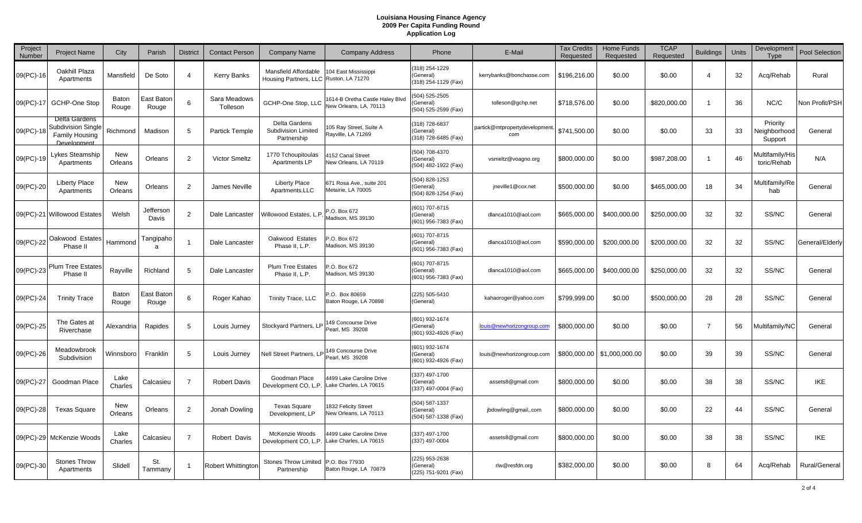| Project<br>Number | <b>Project Name</b>                                                  | City            | Parish              | <b>District</b> | <b>Contact Person</b>    | <b>Company Name</b>                                            | <b>Company Address</b>                                    | Phone                                               | E-Mail                               | <b>Tax Credits</b><br>Requested | <b>Home Funds</b><br>Requested | <b>TCAP</b><br>Requested | <b>Buildings</b> | Units | Development<br>Type                 | <b>Pool Selection</b> |
|-------------------|----------------------------------------------------------------------|-----------------|---------------------|-----------------|--------------------------|----------------------------------------------------------------|-----------------------------------------------------------|-----------------------------------------------------|--------------------------------------|---------------------------------|--------------------------------|--------------------------|------------------|-------|-------------------------------------|-----------------------|
| 09(PC)-16         | Oakhill Plaza<br>Apartments                                          | Mansfield       | De Soto             | $\overline{4}$  | Kerry Banks              | Mansfield Affordable<br>Housing Partners, LLC Ruston, LA 71270 | 104 East Mississippi                                      | (318) 254-1229<br>(General)<br>(318) 254-1129 (Fax) | kerrybanks@bonchasse.com             | \$196,216.00                    | \$0.00                         | \$0.00                   | $\overline{4}$   | 32    | Acq/Rehab                           | Rural                 |
| 09(PC)-17         | GCHP-One Stop                                                        | Baton<br>Rouge  | East Baton<br>Rouge | 6               | Sara Meadows<br>Tolleson | GCHP-One Stop, LLC                                             | 1614-B Oretha Castle Haley Blvd<br>New Orleans, LA, 70113 | (504) 525-2505<br>(General)<br>(504) 525-2599 (Fax) | tolleson@gchp.net                    | \$718,576.00                    | \$0.00                         | \$820,000.00             |                  | 36    | NC/C                                | Non Profit/PSH        |
| 09(PC)-18         | Delta Gardens<br>Subdivision Single<br>Family Housing<br>Development | Richmond        | Madison             | 5               | <b>Partick Temple</b>    | Delta Gardens<br>Subdivision Limited<br>Partnership            | 05 Ray Street, Suite A<br>Rayville, LA 71269              | (318) 728-6837<br>(General)<br>(318) 728-6485 (Fax) | partick@mtpropertydevelopment<br>com | \$741,500.00                    | \$0.00                         | \$0.00                   | 33               | 33    | Priority<br>Neighborhood<br>Support | General               |
| 09(PC)-19         | Lykes Steamship<br>Apartments                                        | New<br>Orleans  | Orleans             | 2               | <b>Victor Smeltz</b>     | 1770 Tchoupitoulas<br>Apartments LP                            | 152 Canal Street<br>New Orleans, LA 70119                 | (504) 708-4370<br>(General)<br>(504) 482-1922 (Fax) | vsmeltz@voagno.org                   | \$800,000.00                    | \$0.00                         | \$987,208.00             | -1               | 46    | Multifamily/His<br>toric/Rehab      | N/A                   |
| 09(PC)-20         | <b>Liberty Place</b><br>Apartments                                   | New<br>Orleans  | Orleans             | 2               | James Neville            | Liberty Place<br>Apartments, LLC                               | 671 Rosa Ave., suite 201<br>Metairie, LA 70005            | (504) 828-1253<br>(General)<br>(504) 828-1254 (Fax) | jneville1@cox.net                    | \$500,000.00                    | \$0.00                         | \$465,000.00             | 18               | 34    | Multifamily/Re<br>hab               | General               |
|                   | 09(PC)-21 Willowood Estates                                          | Welsh           | Jefferson<br>Davis  | $\overline{2}$  | Dale Lancaster           | Willowood Estates, L.P                                         | .O. Box 672<br>Madison, MS 39130                          | (601) 707-8715<br>(General)<br>(601) 956-7383 (Fax) | dlanca1010@aol.com                   | \$665,000.00                    | \$400,000.00                   | \$250,000.00             | 32               | 32    | SS/NC                               | General               |
|                   | 09(PC)-22 Oakwood Estates<br>Phase II                                | Hammond         | Tangipaho<br>a      |                 | Dale Lancaster           | Oakwood Estates<br>Phase II. L.P.                              | .O. Box 672<br>Madison, MS 39130                          | (601) 707-8715<br>(General)<br>(601) 956-7383 (Fax) | dlanca1010@aol.com                   | \$590,000.00                    | \$200,000.00                   | \$200,000.00             | 32               | 32    | SS/NC                               | General/Elderly       |
|                   | 09(PC)-23 Plum Tree Estates<br>Phase II                              | Rayville        | Richland            | 5               | Dale Lancaster           | <b>Plum Tree Estates</b><br>Phase II, L.P.                     | .O. Box 672<br>Madison, MS 39130                          | (601) 707-8715<br>(General)<br>(601) 956-7383 (Fax) | dlanca1010@aol.com                   | \$665,000.00                    | \$400,000.00                   | \$250,000.00             | 32               | 32    | SS/NC                               | General               |
| 09(PC)-24         | <b>Trinity Trace</b>                                                 | Baton<br>Rouge  | East Bator<br>Rouge | 6               | Roger Kahao              | Trinity Trace, LLC                                             | .O. Box 80659<br>Baton Rouge, LA 70898                    | (225) 505-5410<br>(General)                         | kahaoroger@yahoo.com                 | \$799,999.00                    | \$0.00                         | \$500,000.00             | 28               | 28    | SS/NC                               | General               |
| 09(PC)-25         | The Gates at<br>Riverchase                                           | Alexandria      | Rapides             | 5               | Louis Jurney             | Stockyard Partners, LP                                         | 149 Concourse Drive<br>Pearl, MS 39208                    | (601) 932-1674<br>(General)<br>(601) 932-4926 (Fax) | louis@newhorizongroup.com            | \$800,000.00                    | \$0.00                         | \$0.00                   | -7               | 56    | Multifamily/NC                      | General               |
| 09(PC)-26         | Meadowbrook<br>Subdivision                                           | Winnsboro       | Franklin            | 5               | Louis Jurney             | Nell Street Partners, LP                                       | 49 Concourse Drive<br>Pearl, MS 39208                     | (601) 932-1674<br>(General)<br>(601) 932-4926 (Fax) | louis@newhorizongroup.com            |                                 | \$800,000.00   \$1,000,000.00  | \$0.00                   | 39               | 39    | SS/NC                               | General               |
| 09(PC)-27         | Goodman Place                                                        | Lake<br>Charles | Calcasieu           | $\overline{7}$  | <b>Robert Davis</b>      | Goodman Place<br>Development CO, L.P.                          | 4499 Lake Caroline Drive<br>Lake Charles, LA 70615        | (337) 497-1700<br>(General)<br>(337) 497-0004 (Fax) | assets8@gmail.com                    | \$800,000.00                    | \$0.00                         | \$0.00                   | 38               | 38    | SS/NC                               | <b>IKE</b>            |
| 09(PC)-28         | Texas Square                                                         | New<br>Orleans  | Orleans             | $\overline{2}$  | Jonah Dowling            | <b>Texas Square</b><br>Development, LP                         | 1832 Felicity Street<br>New Orleans, LA 70113             | (504) 587-1337<br>(General)<br>(504) 587-1338 (Fax) | jbdowling@gmail,.com                 | \$800,000.00                    | \$0.00                         | \$0.00                   | 22               | 44    | SS/NC                               | General               |
|                   | 09(PC)-29 McKenzie Woods                                             | Lake<br>Charles | Calcasieu           | $\overline{7}$  | Robert Davis             | McKenzie Woods<br>Development CO, L.P.                         | 4499 Lake Caroline Drive<br>Lake Charles, LA 70615        | (337) 497-1700<br>(337) 497-0004                    | assets8@gmail.com                    | \$800,000.00                    | \$0.00                         | \$0.00                   | 38               | 38    | SS/NC                               | <b>IKE</b>            |
| 09(PC)-30         | <b>Stones Throw</b><br>Apartments                                    | Slidell         | St.<br>Tammany      |                 | Robert Whittingtor       | Stones Throw Limited<br>Partnership                            | P.O. Box 77930<br>Baton Rouge, LA 70879                   | (225) 953-2638<br>(General)<br>(225) 751-9201 (Fax) | rlw@resfdn.org                       | \$382,000.00                    | \$0.00                         | \$0.00                   | 8                | 64    | Acq/Rehab                           | Rural/General         |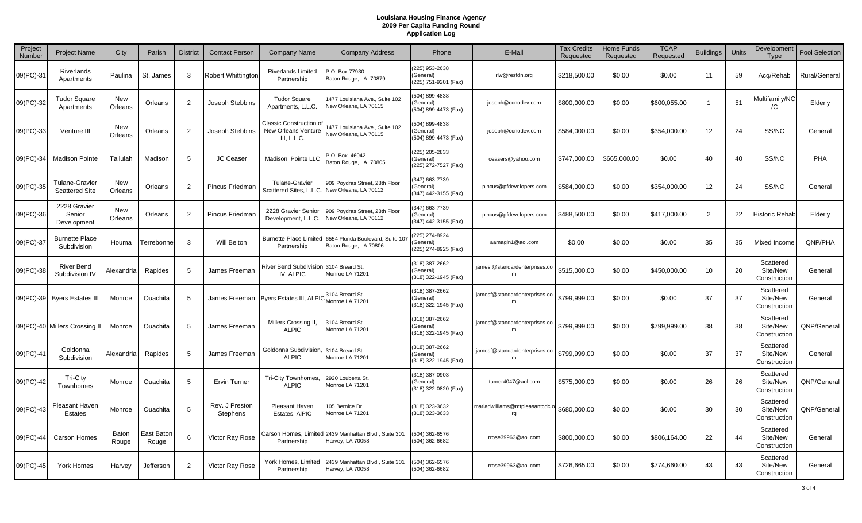| Project<br>Number | <b>Project Name</b>                            | City           | Parish              | <b>District</b> | <b>Contact Person</b>      | <b>Company Name</b>                                           | <b>Company Address</b>                                    | Phone                                               | E-Mail                                             | <b>Tax Credits</b><br>Requested | <b>Home Funds</b><br>Requested | <b>TCAP</b><br>Requested | <b>Buildings</b> | Units | Development<br><b>Type</b>            | Pool Selection |
|-------------------|------------------------------------------------|----------------|---------------------|-----------------|----------------------------|---------------------------------------------------------------|-----------------------------------------------------------|-----------------------------------------------------|----------------------------------------------------|---------------------------------|--------------------------------|--------------------------|------------------|-------|---------------------------------------|----------------|
| 09(PC)-31         | Riverlands<br>Apartments                       | Paulina        | St. James           | -3              | Robert Whittington         | <b>Riverlands Limited</b><br>Partnership                      | P.O. Box 77930<br>Baton Rouge, LA 70879                   | (225) 953-2638<br>(General)<br>(225) 751-9201 (Fax) | rlw@resfdn.org                                     | \$218,500.00                    | \$0.00                         | \$0.00                   | 11               | 59    | Acq/Rehab                             | Rural/General  |
| 09(PC)-32         | <b>Tudor Square</b><br>Apartments              | New<br>Orleans | Orleans             | 2               | Joseph Stebbins            | <b>Tudor Square</b><br>Apartments, L.L.C.                     | 1477 Louisiana Ave., Suite 102<br>New Orleans, LA 70115   | (504) 899-4838<br>General)<br>(504) 899-4473 (Fax)  | joseph@ccnodev.com                                 | \$800,000.00                    | \$0.00                         | \$600,055.00             |                  | 51    | Multifamily/NC<br>/C                  | Elderly        |
| 09(PC)-33         | Venture III                                    | New<br>Orleans | Orleans             | 2               | Joseph Stebbins            | Classic Construction of<br>New Orleans Venture<br>III. L.L.C. | 477 Louisiana Ave., Suite 102<br>New Orleans, LA 70115    | (504) 899-4838<br>(General)<br>(504) 899-4473 (Fax) | joseph@ccnodev.com                                 | \$584,000.00                    | \$0.00                         | \$354,000.00             | 12               | 24    | SS/NC                                 | General        |
| 09(PC)-34         | <b>Madison Pointe</b>                          | Tallulah       | Madison             | .5              | <b>JC Ceaser</b>           | Madison Pointe LLC                                            | .O. Box 46042<br>Baton Rouge, LA 70805                    | (225) 205-2833<br>(General)<br>(225) 272-7527 (Fax) | ceasers@yahoo.com                                  | \$747,000.00                    | \$665,000.00                   | \$0.00                   | 40               | 40    | SS/NC                                 | PHA            |
| 09(PC)-35         | <b>Tulane-Gravier</b><br><b>Scattered Site</b> | New<br>Orleans | Orleans             | $\mathcal{P}$   | Pincus Friedman            | <b>Tulane-Gravier</b><br>Scattered Sites, L.L.C.              | 909 Poydras Street, 28th Floor<br>New Orleans, LA 70112   | (347) 663-7739<br>General)<br>(347) 442-3155 (Fax)  | pincus@pfdevelopers.com                            | \$584,000.00                    | \$0.00                         | \$354,000.00             | 12               | 24    | SS/NC                                 | General        |
| 09(PC)-36         | 2228 Gravier<br>Senior<br>Development          | New<br>Orleans | Orleans             | 2               | Pincus Friedman            | 2228 Gravier Senior<br>Development, L.L.C.                    | 909 Poydras Street, 28th Floor<br>New Orleans, LA 70112   | (347) 663-7739<br>General)<br>(347) 442-3155 (Fax)  | pincus@pfdevelopers.com                            | \$488,500.00                    | \$0.00                         | \$417,000.00             | 2                | 22    | Historic Rehab                        | Elderly        |
| 09(PC)-37         | <b>Burnette Place</b><br>Subdivision           | Houma          | Terrebonne          | $\mathcal{R}$   | <b>Will Belton</b>         | <b>Burnette Place Limited</b><br>Partnership                  | 6554 Florida Boulevard, Suite 10<br>Baton Rouge, LA 70806 | 225) 274-8924<br>General)<br>(225) 274-8925 (Fax)   | aamagin1@aol.com                                   | \$0.00                          | \$0.00                         | \$0.00                   | 35               | 35    | Mixed Income                          | QNP/PHA        |
| 09(PC)-38         | <b>River Bend</b><br>Subdivision IV            | Alexandria     | Rapides             | -5              | James Freeman              | <b>River Bend Subdivision</b><br>IV, ALPIC                    | 3104 Breard St.<br>Monroe LA 71201                        | (318) 387-2662<br>(General)<br>(318) 322-1945 (Fax) | jamesf@standardenterprises.co<br>m                 | \$515,000.00                    | \$0.00                         | \$450,000.00             | 10               | 20    | Scattered<br>Site/New<br>Construction | General        |
| 09(PC)-39         | <b>Byers Estates III</b>                       | Monroe         | Ouachita            | -5              | James Freeman              | <b>Byers Estates III, ALPIC</b>                               | 3104 Breard St.<br>Monroe LA 71201                        | (318) 387-2662<br>(General)<br>(318) 322-1945 (Fax) | jamesf@standardenterprises.co<br>m                 | \$799,999.00                    | \$0.00                         | \$0.00                   | 37               | 37    | Scattered<br>Site/New<br>Construction | General        |
|                   | 09(PC)-40 Millers Crossing I                   | Monroe         | Ouachita            |                 | James Freeman              | Millers Crossing II,<br><b>ALPIC</b>                          | 3104 Breard St.<br>Monroe LA 71201                        | (318) 387-2662<br>(General)<br>(318) 322-1945 (Fax) | jamesf@standardenterprises.co<br>m                 | \$799,999.00                    | \$0.00                         | \$799,999.00             | 38               | 38    | Scattered<br>Site/New<br>Construction | QNP/General    |
| 09(PC)-41         | Goldonna<br>Subdivision                        | Alexandria     | Rapides             | -5              | James Freeman              | Goldonna Subdivision.<br><b>ALPIC</b>                         | 3104 Breard St.<br>Monroe LA 71201                        | (318) 387-2662<br>(General)<br>(318) 322-1945 (Fax) | jamesf@standardenterprises.co<br>m                 | \$799,999.00                    | \$0.00                         | \$0.00                   | 37               | 37    | Scattered<br>Site/New<br>Construction | General        |
| 09(PC)-42         | <b>Tri-City</b><br>Townhomes                   | Monroe         | Ouachita            | -5              | <b>Ervin Turner</b>        | Tri-City Townhomes,<br><b>ALPIC</b>                           | 2920 Louberta St.<br>Monroe LA 71201                      | (318) 387-0903<br>(General)<br>(318) 322-0820 (Fax) | turner4047@aol.com                                 | \$575,000.00                    | \$0.00                         | \$0.00                   | 26               | 26    | Scattered<br>Site/New<br>Construction | QNP/General    |
| 09(PC)-43         | Pleasant Haven<br>Estates                      | Monroe         | Ouachita            | .5              | Rev. J Preston<br>Stephens | <b>Pleasant Haven</b><br>Estates, AIPIC                       | 05 Bernice Dr.<br>Monroe LA 71201                         | (318) 323-3632<br>(318) 323-3633                    | marladwilliams@mtpleasantcdc. <mark>o</mark><br>rg | \$680,000.00                    | \$0.00                         | \$0.00                   | 30               | 30    | Scattered<br>Site/New<br>Construction | QNP/General    |
| 09(PC)-44         | Carson Homes                                   | Baton<br>Rouge | East Baton<br>Rouge | 6               | Victor Ray Rose            | Carson Homes, Limited<br>Partnership                          | 2439 Manhattan Blvd., Suite 301<br>Harvey, LA 70058       | 504) 362-6576<br>(504) 362-6682                     | rrose39963@aol.com                                 | \$800,000.00                    | \$0.00                         | \$806,164.00             | 22               | 44    | Scattered<br>Site/New<br>Construction | General        |
| 09(PC)-45         | <b>York Homes</b>                              | Harvey         | Jefferson           | 2               | Victor Ray Rose            | York Homes, Limited<br>Partnership                            | 2439 Manhattan Blvd., Suite 301<br>Harvey, LA 70058       | 504) 362-6576<br>(504) 362-6682                     | rrose39963@aol.com                                 | \$726,665.00                    | \$0.00                         | \$774,660.00             | 43               | 43    | Scattered<br>Site/New<br>Construction | General        |